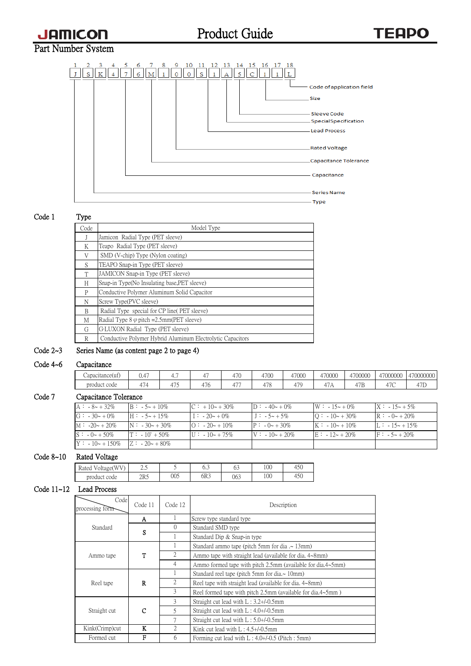Product Guide

# Part Number System



### Code 1 Type

| Code | Model Type                                                 |
|------|------------------------------------------------------------|
| J    | Jamicon Radial Type (PET sleeve)                           |
| Κ    | Teapo Radial Type (PET sleeve)                             |
| V    | SMD (V-chip) Type (Nylon coating)                          |
| S    | TEAPO Snap-in Type (PET sleeve)                            |
| T    | JAMICON Snap-in Type (PET sleeve)                          |
| Н    | Snap-in Type(No Insulating base, PET sleeve)               |
| P    | Conductive Polymer Aluminum Solid Capacitor                |
| N    | Screw Type(PVC sleeve)                                     |
| B    | Radial Type special for CP line (PET sleeve)               |
| M    | Radial Type $8 \varphi$ pitch = 2.5mm(PET sleeve)          |
| G    | G-LUXON Radial Type (PET sleeve)                           |
| R    | Conductive Polymer Hybrid Aluminum Electrolytic Capacitors |

## Code 2~3 Series Name (as content page 2 to page 4)

### Code 4~6 Capacitance

| `anacıtancel<br>Cadachancetui | $\overline{\phantom{a}}$<br>U.4 |   |        | $-$<br>$\pm$ / $\cdot$<br>7 V | 4700                            | 47000                                                    | 170000<br>,,,,,,,<br>u. | 1700000<br>UUU.<br><b>LL</b> | 17000000<br>いいいい<br><b>. .</b> | 17000000c<br>- 23  |
|-------------------------------|---------------------------------|---|--------|-------------------------------|---------------------------------|----------------------------------------------------------|-------------------------|------------------------------|--------------------------------|--------------------|
| product<br>: code             | $\overline{\phantom{0}}$        | . | $\sim$ | $- - -$<br>4                  | $\overline{\phantom{a}}$<br>7 U | $\sqrt{2}$<br>$\overline{1}$<br>$\overline{\phantom{a}}$ | ↵<br>. <i>.</i>         | $\sim$ $ -$<br>. <i>.</i>    | $-1$                           | $-1$<br>$\sqrt{2}$ |

## Code 7 Capacitance Tolerance

| $A : -8 - 32\%$                          | $B: -5 - 10\%$          | $C: +10 \sim +30\%$       | $D: -40 - 0\%$          | $W: -15 - 0\%$      | $X: -15 - 5\%$     |
|------------------------------------------|-------------------------|---------------------------|-------------------------|---------------------|--------------------|
| $G: -30+0\%$                             | $H: -5 - +15\%$         | $1: -20 - 0\%$            | $\Box$ : $-5 \sim +5\%$ | $Q: -10 \sim +30\%$ | $R: -0 \sim +20\%$ |
| $M: -20 \sim +20\%$                      | $N: -30 - 30\%$         | $\Omega$ : -20~ +10%      | $P: -0 \sim +30\%$      | $K: -10 \sim +10\%$ | $L: -15 - 15\%$    |
| $S: -0 \sim +50\%$                       | $T: -10^{\circ} + 50\%$ | $\text{U}$ : $-10 - 75\%$ | $V: -10 - 20\%$         | $E: -12 - 20\%$     | $F: -5 \sim +20\%$ |
| $Y: -10 \sim +150\%$ $Z: -20 \sim +80\%$ |                         |                           |                         |                     |                    |

#### Code 8~10 Rated Voltage

| (WV)<br>$\mathbf{r}$<br>Rated<br>Voltage<br>у. | ل و گ |     | ∪.∪ | $\sim$<br>ິ | 100 | 450 |
|------------------------------------------------|-------|-----|-----|-------------|-----|-----|
| product code                                   | 2R5   | 005 | 6R3 | 063         | 100 | 450 |

# Code 11~12 Lead Process

| Code<br>Code 11<br>processing form |   | Code 12  | Description                                                 |
|------------------------------------|---|----------|-------------------------------------------------------------|
|                                    | A |          | Screw type standard type                                    |
| Standard                           | S | $\Omega$ | Standard SMD type                                           |
|                                    |   |          | Standard Dip & Snap-in type                                 |
|                                    |   |          | Standard ammo tape (pitch 5mm for dia $\sim$ 13mm)          |
| Ammo tape                          | T | 2        | Ammo tape with straight lead (available for dia, 4~8mm)     |
|                                    |   | 4        | Ammo formed tape with pitch 2.5mm (available for dia.4~5mm) |
|                                    |   |          | Standard reel tape (pitch 5mm for dia. $\sim$ 10mm)         |
| Reel tape                          | R | 2        | Reel tape with straight lead (available for dia, 4~8mm)     |
|                                    |   | 3        | Reel formed tape with pitch 2.5mm (available for dia.4~5mm) |
|                                    |   | 3        | Straight cut lead with $L: 3.2 + / -0.5$ mm                 |
| Straight cut                       | C | 5        | Straight cut lead with $L: 4.0 + (-0.5)$ mm                 |
|                                    |   | 7        | Straight cut lead with $L: 5.0 + (-0.5)$ mm                 |
| Kink(Crimp)cut                     | K | 2        | Kink cut lead with $L: 4.5 + (-0.5)$ mm                     |
| Formed cut                         | F | 6        | Forming cut lead with $L: 4.0+/0.5$ (Pitch: 5mm)            |